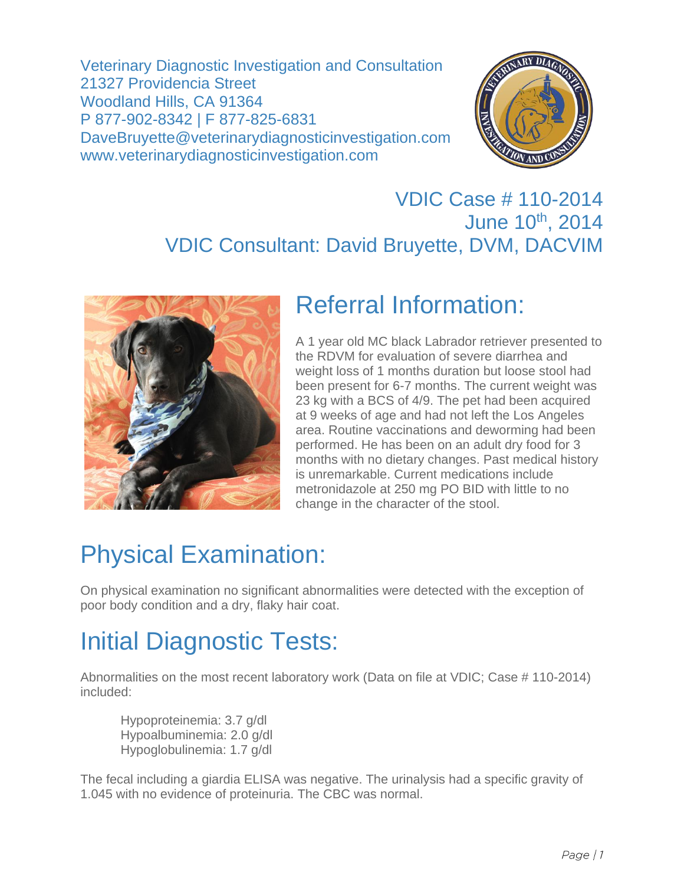Veterinary Diagnostic Investigation and Consultation 21327 Providencia Street Woodland Hills, CA 91364 P 877-902-8342 | F 877-825-6831 DaveBruyette@veterinarydiagnosticinvestigation.com www.veterinarydiagnosticinvestigation.com



#### VDIC Case # 110-2014 June 10th, 2014 VDIC Consultant: David Bruyette, DVM, DACVIM



### Referral Information:

A 1 year old MC black Labrador retriever presented to the RDVM for evaluation of severe diarrhea and weight loss of 1 months duration but loose stool had been present for 6-7 months. The current weight was 23 kg with a BCS of 4/9. The pet had been acquired at 9 weeks of age and had not left the Los Angeles area. Routine vaccinations and deworming had been performed. He has been on an adult dry food for 3 months with no dietary changes. Past medical history is unremarkable. Current medications include metronidazole at 250 mg PO BID with little to no change in the character of the stool.

# Physical Examination:

On physical examination no significant abnormalities were detected with the exception of poor body condition and a dry, flaky hair coat.

# Initial Diagnostic Tests:

Abnormalities on the most recent laboratory work (Data on file at VDIC; Case # 110-2014) included:

Hypoproteinemia: 3.7 g/dl Hypoalbuminemia: 2.0 g/dl Hypoglobulinemia: 1.7 g/dl

The fecal including a giardia ELISA was negative. The urinalysis had a specific gravity of 1.045 with no evidence of proteinuria. The CBC was normal.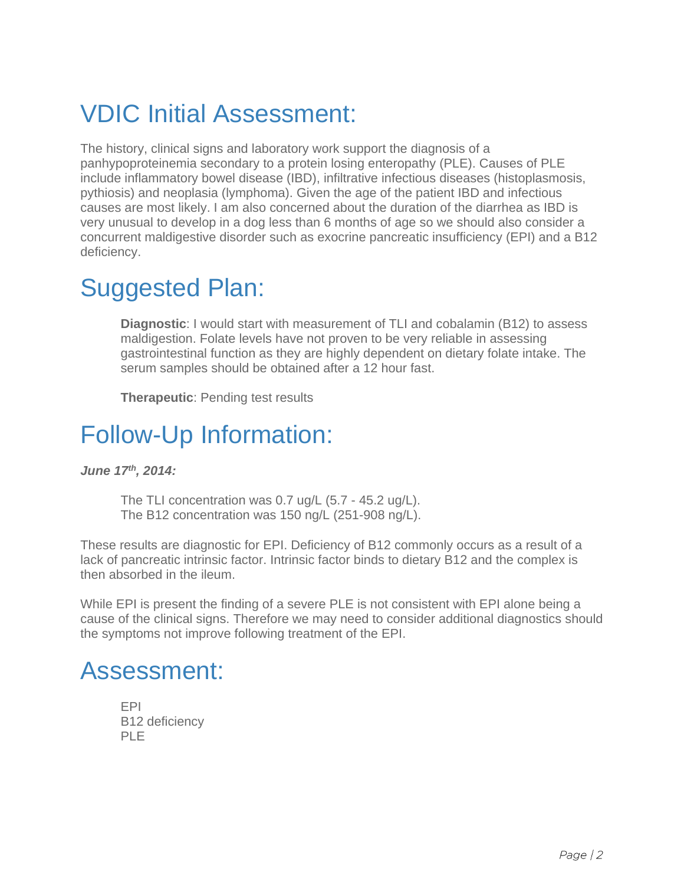# VDIC Initial Assessment:

The history, clinical signs and laboratory work support the diagnosis of a panhypoproteinemia secondary to a protein losing enteropathy (PLE). Causes of PLE include inflammatory bowel disease (IBD), infiltrative infectious diseases (histoplasmosis, pythiosis) and neoplasia (lymphoma). Given the age of the patient IBD and infectious causes are most likely. I am also concerned about the duration of the diarrhea as IBD is very unusual to develop in a dog less than 6 months of age so we should also consider a concurrent maldigestive disorder such as exocrine pancreatic insufficiency (EPI) and a B12 deficiency.

### Suggested Plan:

**Diagnostic**: I would start with measurement of TLI and cobalamin (B12) to assess maldigestion. Folate levels have not proven to be very reliable in assessing gastrointestinal function as they are highly dependent on dietary folate intake. The serum samples should be obtained after a 12 hour fast.

**Therapeutic**: Pending test results

### Follow-Up Information:

*June 17th, 2014:* 

The TLI concentration was 0.7 ug/L (5.7 - 45.2 ug/L). The B12 concentration was 150 ng/L (251-908 ng/L).

These results are diagnostic for EPI. Deficiency of B12 commonly occurs as a result of a lack of pancreatic intrinsic factor. Intrinsic factor binds to dietary B12 and the complex is then absorbed in the ileum.

While EPI is present the finding of a severe PLE is not consistent with EPI alone being a cause of the clinical signs. Therefore we may need to consider additional diagnostics should the symptoms not improve following treatment of the EPI.

### Assessment:

EPI B12 deficiency PLE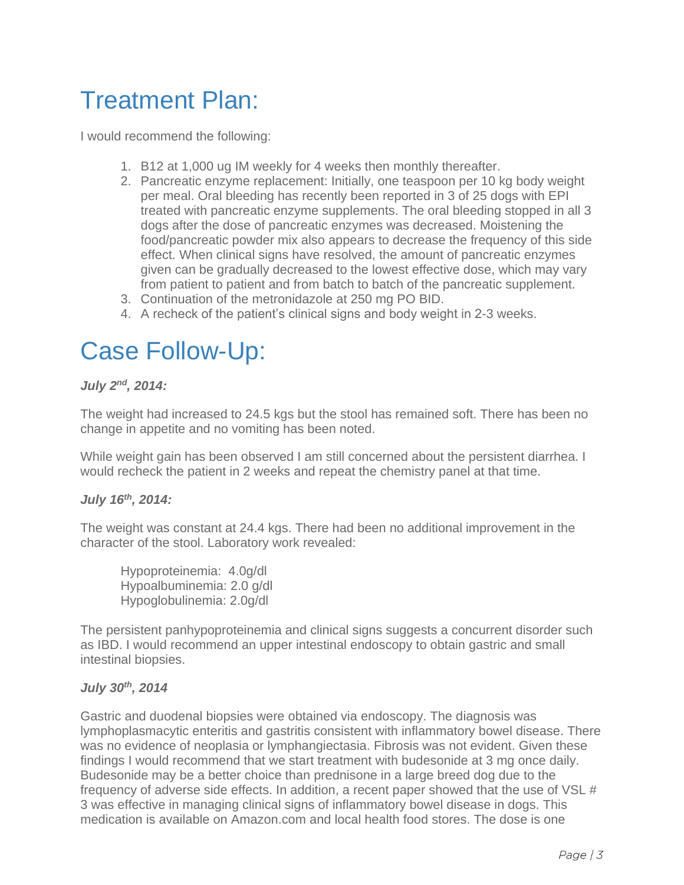## Treatment Plan:

I would recommend the following:

- 1. B12 at 1,000 ug IM weekly for 4 weeks then monthly thereafter.
- 2. Pancreatic enzyme replacement: Initially, one teaspoon per 10 kg body weight per meal. Oral bleeding has recently been reported in 3 of 25 dogs with EPI treated with pancreatic enzyme supplements. The oral bleeding stopped in all 3 dogs after the dose of pancreatic enzymes was decreased. Moistening the food/pancreatic powder mix also appears to decrease the frequency of this side effect. When clinical signs have resolved, the amount of pancreatic enzymes given can be gradually decreased to the lowest effective dose, which may vary from patient to patient and from batch to batch of the pancreatic supplement.
- 3. Continuation of the metronidazole at 250 mg PO BID.
- 4. A recheck of the patient's clinical signs and body weight in 2-3 weeks.

### Case Follow-Up:

#### *July 2nd, 2014:*

The weight had increased to 24.5 kgs but the stool has remained soft. There has been no change in appetite and no vomiting has been noted.

While weight gain has been observed I am still concerned about the persistent diarrhea. I would recheck the patient in 2 weeks and repeat the chemistry panel at that time.

#### *July 16th, 2014:*

The weight was constant at 24.4 kgs. There had been no additional improvement in the character of the stool. Laboratory work revealed:

Hypoproteinemia: 4.0g/dl Hypoalbuminemia: 2.0 g/dl Hypoglobulinemia: 2.0g/dl

The persistent panhypoproteinemia and clinical signs suggests a concurrent disorder such as IBD. I would recommend an upper intestinal endoscopy to obtain gastric and small intestinal biopsies.

#### *July 30th, 2014*

Gastric and duodenal biopsies were obtained via endoscopy. The diagnosis was lymphoplasmacytic enteritis and gastritis consistent with inflammatory bowel disease. There was no evidence of neoplasia or lymphangiectasia. Fibrosis was not evident. Given these findings I would recommend that we start treatment with budesonide at 3 mg once daily. Budesonide may be a better choice than prednisone in a large breed dog due to the frequency of adverse side effects. In addition, a recent paper showed that the use of VSL # 3 was effective in managing clinical signs of inflammatory bowel disease in dogs. This medication is available on Amazon.com and local health food stores. The dose is one